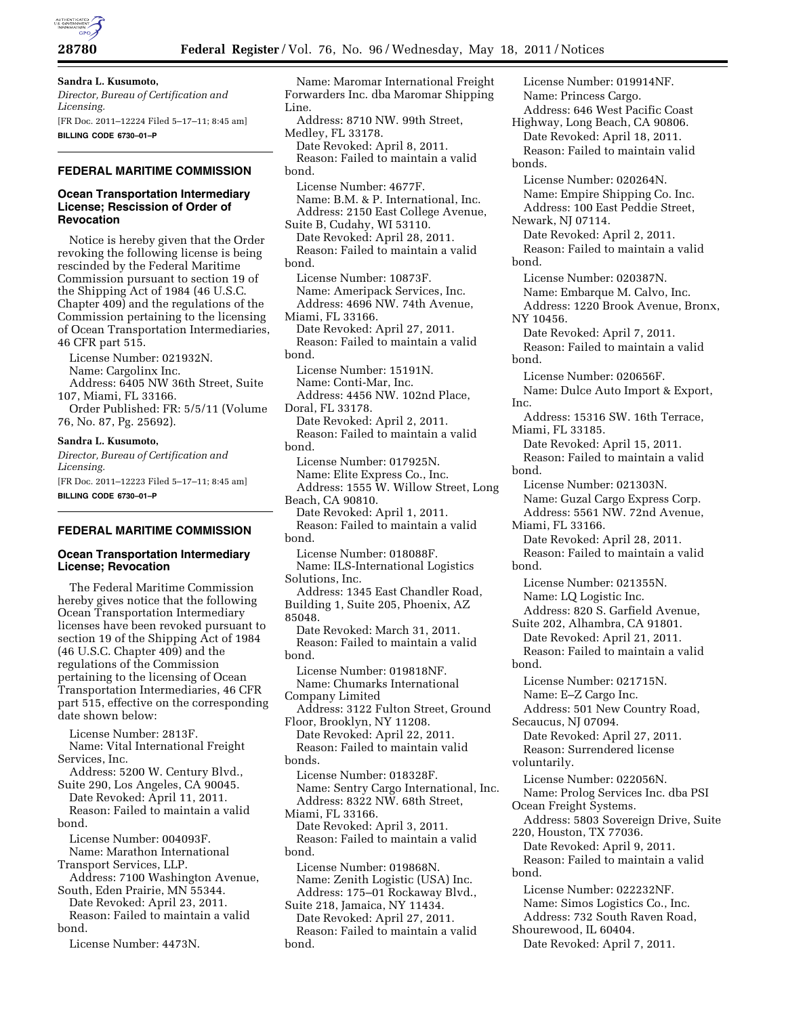

# **Sandra L. Kusumoto,**

*Director, Bureau of Certification and Licensing.*  [FR Doc. 2011–12224 Filed 5–17–11; 8:45 am] **BILLING CODE 6730–01–P** 

### **FEDERAL MARITIME COMMISSION**

#### **Ocean Transportation Intermediary License; Rescission of Order of Revocation**

Notice is hereby given that the Order revoking the following license is being rescinded by the Federal Maritime Commission pursuant to section 19 of the Shipping Act of 1984 (46 U.S.C. Chapter 409) and the regulations of the Commission pertaining to the licensing of Ocean Transportation Intermediaries, 46 CFR part 515.

License Number: 021932N. Name: Cargolinx Inc. Address: 6405 NW 36th Street, Suite 107, Miami, FL 33166.

Order Published: FR: 5/5/11 (Volume 76, No. 87, Pg. 25692).

#### **Sandra L. Kusumoto,**

*Director, Bureau of Certification and Licensing.*  [FR Doc. 2011–12223 Filed 5–17–11; 8:45 am] **BILLING CODE 6730–01–P** 

### **FEDERAL MARITIME COMMISSION**

#### **Ocean Transportation Intermediary License; Revocation**

The Federal Maritime Commission hereby gives notice that the following Ocean Transportation Intermediary licenses have been revoked pursuant to section 19 of the Shipping Act of 1984 (46 U.S.C. Chapter 409) and the regulations of the Commission pertaining to the licensing of Ocean Transportation Intermediaries, 46 CFR part 515, effective on the corresponding date shown below:

License Number: 2813F. Name: Vital International Freight Services, Inc.

Address: 5200 W. Century Blvd., Suite 290, Los Angeles, CA 90045.

Date Revoked: April 11, 2011. Reason: Failed to maintain a valid

bond.

License Number: 004093F. Name: Marathon International

Transport Services, LLP.

Address: 7100 Washington Avenue, South, Eden Prairie, MN 55344.

Date Revoked: April 23, 2011. Reason: Failed to maintain a valid bond.

License Number: 4473N.

Name: Maromar International Freight Forwarders Inc. dba Maromar Shipping Line. Address: 8710 NW. 99th Street, Medley, FL 33178. Date Revoked: April 8, 2011. Reason: Failed to maintain a valid bond. License Number: 4677F. Name: B.M. & P. International, Inc. Address: 2150 East College Avenue, Suite B, Cudahy, WI 53110. Date Revoked: April 28, 2011. Reason: Failed to maintain a valid bond. License Number: 10873F. Name: Ameripack Services, Inc. Address: 4696 NW. 74th Avenue, Miami, FL 33166. Date Revoked: April 27, 2011. Reason: Failed to maintain a valid bond. License Number: 15191N. Name: Conti-Mar, Inc. Address: 4456 NW. 102nd Place, Doral, FL 33178. Date Revoked: April 2, 2011. Reason: Failed to maintain a valid bond. License Number: 017925N. Name: Elite Express Co., Inc. Address: 1555 W. Willow Street, Long Beach, CA 90810. Date Revoked: April 1, 2011. Reason: Failed to maintain a valid bond. License Number: 018088F. Name: ILS-International Logistics Solutions, Inc. Address: 1345 East Chandler Road, Building 1, Suite 205, Phoenix, AZ 85048. Date Revoked: March 31, 2011. Reason: Failed to maintain a valid bond. License Number: 019818NF. Name: Chumarks International Company Limited Address: 3122 Fulton Street, Ground Floor, Brooklyn, NY 11208. Date Revoked: April 22, 2011. Reason: Failed to maintain valid bonds. License Number: 018328F. Name: Sentry Cargo International, Inc. Address: 8322 NW. 68th Street, Miami, FL 33166. Date Revoked: April 3, 2011. Reason: Failed to maintain a valid bond. License Number: 019868N. Name: Zenith Logistic (USA) Inc. Address: 175–01 Rockaway Blvd., Suite 218, Jamaica, NY 11434.

Date Revoked: April 27, 2011. Reason: Failed to maintain a valid bond.

License Number: 019914NF. Name: Princess Cargo. Address: 646 West Pacific Coast Highway, Long Beach, CA 90806. Date Revoked: April 18, 2011. Reason: Failed to maintain valid bonds. License Number: 020264N. Name: Empire Shipping Co. Inc. Address: 100 East Peddie Street, Newark, NJ 07114. Date Revoked: April 2, 2011. Reason: Failed to maintain a valid bond. License Number: 020387N. Name: Embarque M. Calvo, Inc. Address: 1220 Brook Avenue, Bronx, NY 10456. Date Revoked: April 7, 2011. Reason: Failed to maintain a valid bond. License Number: 020656F. Name: Dulce Auto Import & Export, Inc. Address: 15316 SW. 16th Terrace, Miami, FL 33185. Date Revoked: April 15, 2011. Reason: Failed to maintain a valid bond. License Number: 021303N. Name: Guzal Cargo Express Corp. Address: 5561 NW. 72nd Avenue, Miami, FL 33166. Date Revoked: April 28, 2011. Reason: Failed to maintain a valid bond. License Number: 021355N. Name: LQ Logistic Inc. Address: 820 S. Garfield Avenue, Suite 202, Alhambra, CA 91801. Date Revoked: April 21, 2011. Reason: Failed to maintain a valid bond. License Number: 021715N. Name: E–Z Cargo Inc. Address: 501 New Country Road, Secaucus, NJ 07094. Date Revoked: April 27, 2011. Reason: Surrendered license voluntarily. License Number: 022056N. Name: Prolog Services Inc. dba PSI Ocean Freight Systems. Address: 5803 Sovereign Drive, Suite 220, Houston, TX 77036. Date Revoked: April 9, 2011. Reason: Failed to maintain a valid bond. License Number: 022232NF. Name: Simos Logistics Co., Inc. Address: 732 South Raven Road, Shourewood, IL 60404.

Date Revoked: April 7, 2011.